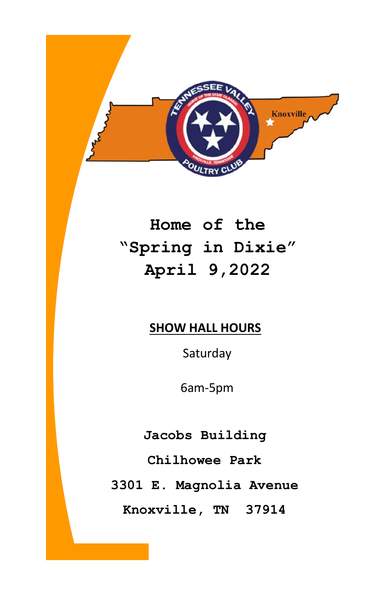

# **Home of the "Spring in Dixie" April 9,2022**

## **SHOW HALL HOURS**

Saturday

6am-5pm

**Jacobs Building**

**Chilhowee Park**

**3301 E. Magnolia Avenue**

**Knoxville, TN 37914**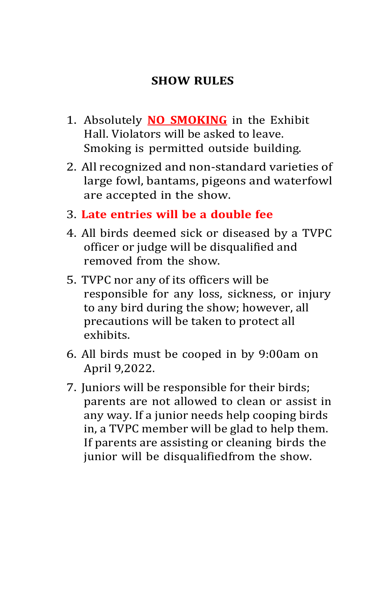### **SHOW RULES**

- 1. Absolutely **NO SMOKING** in the Exhibit Hall. Violators will be asked to leave. Smoking is permitted outside building.
- 2. All recognized and non-standard varieties of large fowl, bantams, pigeons and waterfowl are accepted in the show.
- 3. **Late entries will be a double fee**
- 4. All birds deemed sick or diseased by a TVPC officer or judge will be disqualified and removed from the show.
- 5. TVPC nor any of its officers will be responsible for any loss, sickness, or injury to any bird during the show; however, all precautions will be taken to protect all exhibits.
- 6. All birds must be cooped in by 9:00am on April 9,2022.
- 7. Juniors will be responsible for their birds; parents are not allowed to clean or assist in any way. If a junior needs help cooping birds in, a TVPC member will be glad to help them. If parents are assisting or cleaning birds the junior will be disqualifiedfrom the show.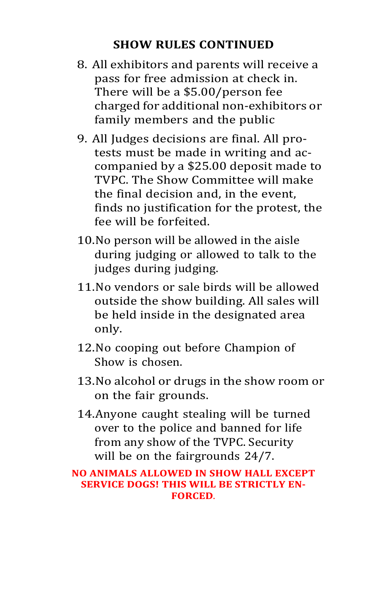#### **SHOW RULES CONTINUED**

- 8. All exhibitors and parents will receive a pass for free admission at check in. There will be a \$5.00/person fee charged for additional non-exhibitors or family members and the public
- 9. All Judges decisions are final. All protests must be made in writing and accompanied by a \$25.00 deposit made to TVPC. The Show Committee will make the final decision and, in the event, finds no justification for the protest, the fee will be forfeited.
- 10.No person will be allowed in the aisle during judging or allowed to talk to the judges during judging.
- 11.No vendors or sale birds will be allowed outside the show building. All sales will be held inside in the designated area only.
- 12.No cooping out before Champion of Show is chosen.
- 13.No alcohol or drugs in the show room or on the fair grounds.
- 14.Anyone caught stealing will be turned over to the police and banned for life from any show of the TVPC. Security will be on the fairgrounds 24/7.

#### **NO ANIMALS ALLOWED IN SHOW HALL EXCEPT SERVICE DOGS! THIS WILL BE STRICTLY EN-FORCED**.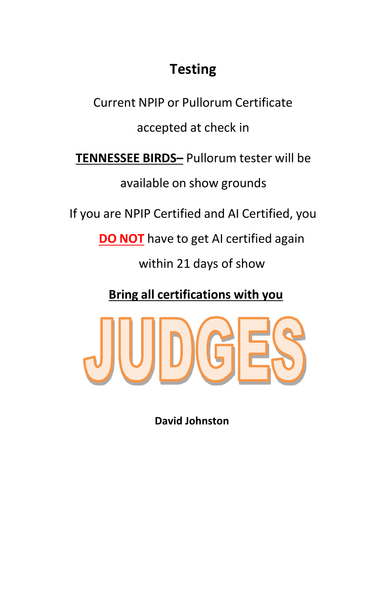## **Testing**

Current NPIP or Pullorum Certificate accepted at check in **TENNESSEE BIRDS–** Pullorum tester will be available on show grounds If you are NPIP Certified and AI Certified, you **DO NOT** have to get AI certified again within 21 days of show

**Bring all certifications with you**



**David Johnston**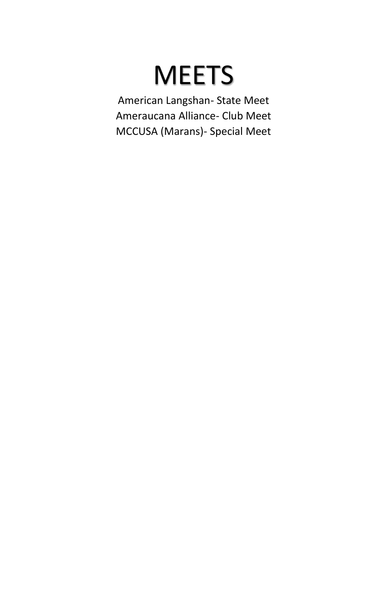# **MEETS**

American Langshan- State Meet Ameraucana Alliance- Club Meet MCCUSA (Marans)- Special Meet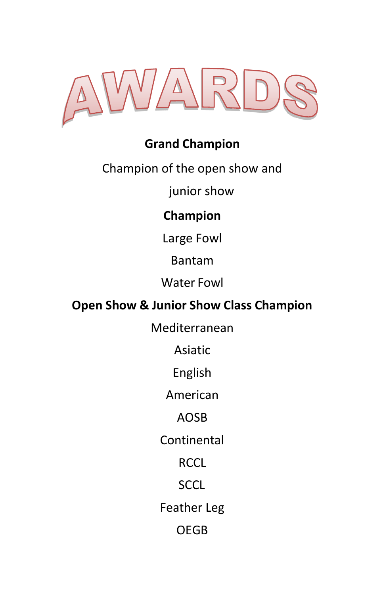

## **Grand Champion**

Champion of the open show and

junior show

## **Champion**

Large Fowl

Bantam

Water Fowl

## **Open Show & Junior Show Class Champion**

Mediterranean

Asiatic

English

American

AOSB

Continental

**RCCL** 

SCCL

Feather Leg

OEGB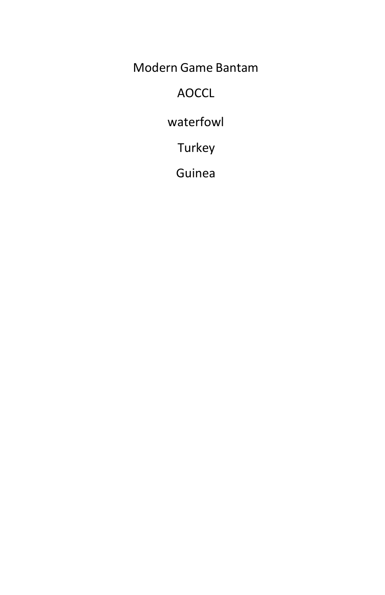Modern Game Bantam

AOCCL

waterfowl

Turkey

Guinea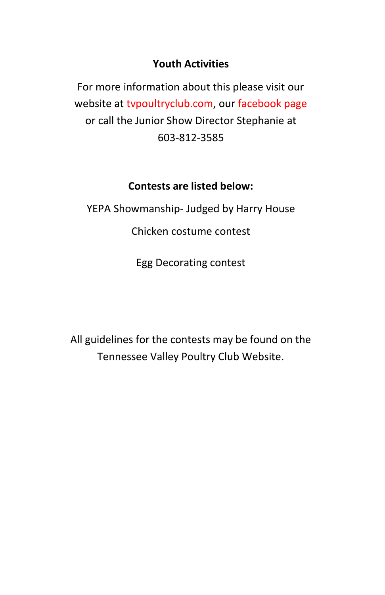#### **Youth Activities**

For more information about this please visit our website at tvpoultryclub.com, our facebook page or call the Junior Show Director Stephanie at 603-812-3585

#### **Contests are listed below:**

YEPA Showmanship- Judged by Harry House

Chicken costume contest

Egg Decorating contest

All guidelines for the contests may be found on the Tennessee Valley Poultry Club Website.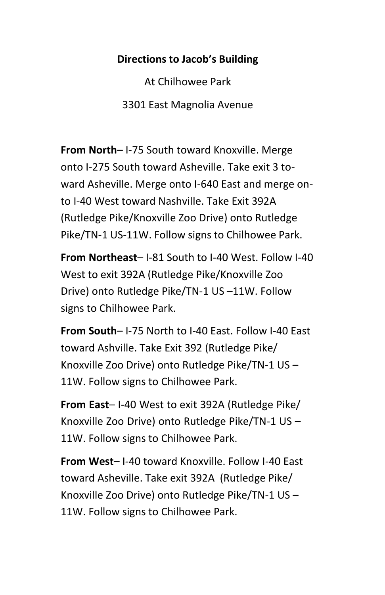#### **Directions to Jacob's Building**

At Chilhowee Park 3301 East Magnolia Avenue

**From North**– I-75 South toward Knoxville. Merge onto I-275 South toward Asheville. Take exit 3 toward Asheville. Merge onto I-640 East and merge onto I-40 West toward Nashville. Take Exit 392A (Rutledge Pike/Knoxville Zoo Drive) onto Rutledge Pike/TN-1 US-11W. Follow signs to Chilhowee Park.

**From Northeast**– I-81 South to I-40 West. Follow I-40 West to exit 392A (Rutledge Pike/Knoxville Zoo Drive) onto Rutledge Pike/TN-1 US –11W. Follow signs to Chilhowee Park.

**From South**– I-75 North to I-40 East. Follow I-40 East toward Ashville. Take Exit 392 (Rutledge Pike/ Knoxville Zoo Drive) onto Rutledge Pike/TN-1 US – 11W. Follow signs to Chilhowee Park.

**From East**– I-40 West to exit 392A (Rutledge Pike/ Knoxville Zoo Drive) onto Rutledge Pike/TN-1 US – 11W. Follow signs to Chilhowee Park.

**From West**– I-40 toward Knoxville. Follow I-40 East toward Asheville. Take exit 392A (Rutledge Pike/ Knoxville Zoo Drive) onto Rutledge Pike/TN-1 US – 11W. Follow signs to Chilhowee Park.